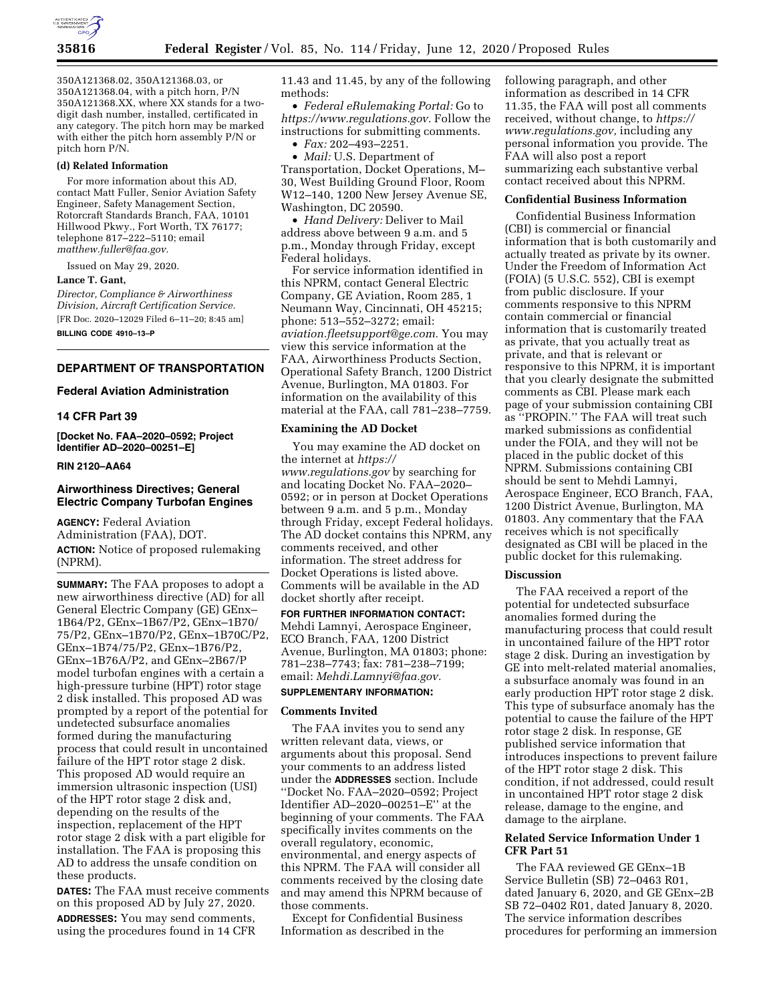

350A121368.02, 350A121368.03, or 350A121368.04, with a pitch horn, P/N 350A121368.XX, where XX stands for a twodigit dash number, installed, certificated in any category. The pitch horn may be marked with either the pitch horn assembly P/N or pitch horn P/N.

# **(d) Related Information**

For more information about this AD, contact Matt Fuller, Senior Aviation Safety Engineer, Safety Management Section, Rotorcraft Standards Branch, FAA, 10101 Hillwood Pkwy., Fort Worth, TX 76177; telephone 817–222–5110; email *[matthew.fuller@faa.gov.](mailto:matthew.fuller@faa.gov)* 

Issued on May 29, 2020.

### **Lance T. Gant,**

*Director, Compliance & Airworthiness Division, Aircraft Certification Service.*  [FR Doc. 2020–12029 Filed 6–11–20; 8:45 am]

**BILLING CODE 4910–13–P** 

### **DEPARTMENT OF TRANSPORTATION**

# **Federal Aviation Administration**

#### **14 CFR Part 39**

**[Docket No. FAA–2020–0592; Project Identifier AD–2020–00251–E]** 

# **RIN 2120–AA64**

# **Airworthiness Directives; General Electric Company Turbofan Engines**

**AGENCY:** Federal Aviation Administration (FAA), DOT. **ACTION:** Notice of proposed rulemaking (NPRM).

**SUMMARY:** The FAA proposes to adopt a new airworthiness directive (AD) for all General Electric Company (GE) GEnx– 1B64/P2, GEnx–1B67/P2, GEnx–1B70/ 75/P2, GEnx–1B70/P2, GEnx–1B70C/P2, GEnx–1B74/75/P2, GEnx–1B76/P2, GEnx–1B76A/P2, and GEnx–2B67/P model turbofan engines with a certain a high-pressure turbine (HPT) rotor stage 2 disk installed. This proposed AD was prompted by a report of the potential for undetected subsurface anomalies formed during the manufacturing process that could result in uncontained failure of the HPT rotor stage 2 disk. This proposed AD would require an immersion ultrasonic inspection (USI) of the HPT rotor stage 2 disk and, depending on the results of the inspection, replacement of the HPT rotor stage 2 disk with a part eligible for installation. The FAA is proposing this AD to address the unsafe condition on these products.

**DATES:** The FAA must receive comments on this proposed AD by July 27, 2020. **ADDRESSES:** You may send comments, using the procedures found in 14 CFR

11.43 and 11.45, by any of the following methods:

• *Federal eRulemaking Portal:* Go to *[https://www.regulations.gov.](https://www.regulations.gov)* Follow the instructions for submitting comments.

• *Fax:* 202–493–2251.

• *Mail:* U.S. Department of Transportation, Docket Operations, M– 30, West Building Ground Floor, Room W12–140, 1200 New Jersey Avenue SE, Washington, DC 20590.

• *Hand Delivery:* Deliver to Mail address above between 9 a.m. and 5 p.m., Monday through Friday, except Federal holidays.

For service information identified in this NPRM, contact General Electric Company, GE Aviation, Room 285, 1 Neumann Way, Cincinnati, OH 45215; phone: 513–552–3272; email: *[aviation.fleetsupport@ge.com.](mailto:aviation.fleetsupport@ge.com)* You may view this service information at the FAA, Airworthiness Products Section, Operational Safety Branch, 1200 District Avenue, Burlington, MA 01803. For information on the availability of this material at the FAA, call 781–238–7759.

# **Examining the AD Docket**

You may examine the AD docket on the internet at *[https://](https://www.regulations.gov) [www.regulations.gov](https://www.regulations.gov)* by searching for and locating Docket No. FAA–2020– 0592; or in person at Docket Operations between 9 a.m. and 5 p.m., Monday through Friday, except Federal holidays. The AD docket contains this NPRM, any comments received, and other information. The street address for Docket Operations is listed above. Comments will be available in the AD docket shortly after receipt.

**FOR FURTHER INFORMATION CONTACT:**  Mehdi Lamnyi, Aerospace Engineer, ECO Branch, FAA, 1200 District Avenue, Burlington, MA 01803; phone: 781–238–7743; fax: 781–238–7199; email: *[Mehdi.Lamnyi@faa.gov.](mailto:Mehdi.Lamnyi@faa.gov)* 

# **SUPPLEMENTARY INFORMATION:**

# **Comments Invited**

The FAA invites you to send any written relevant data, views, or arguments about this proposal. Send your comments to an address listed under the **ADDRESSES** section. Include ''Docket No. FAA–2020–0592; Project Identifier AD–2020–00251–E'' at the beginning of your comments. The FAA specifically invites comments on the overall regulatory, economic, environmental, and energy aspects of this NPRM. The FAA will consider all comments received by the closing date and may amend this NPRM because of those comments.

Except for Confidential Business Information as described in the

following paragraph, and other information as described in 14 CFR 11.35, the FAA will post all comments received, without change, to *[https://](https://www.regulations.gov) [www.regulations.gov,](https://www.regulations.gov)* including any personal information you provide. The FAA will also post a report summarizing each substantive verbal contact received about this NPRM.

# **Confidential Business Information**

Confidential Business Information (CBI) is commercial or financial information that is both customarily and actually treated as private by its owner. Under the Freedom of Information Act (FOIA) (5 U.S.C. 552), CBI is exempt from public disclosure. If your comments responsive to this NPRM contain commercial or financial information that is customarily treated as private, that you actually treat as private, and that is relevant or responsive to this NPRM, it is important that you clearly designate the submitted comments as CBI. Please mark each page of your submission containing CBI as ''PROPIN.'' The FAA will treat such marked submissions as confidential under the FOIA, and they will not be placed in the public docket of this NPRM. Submissions containing CBI should be sent to Mehdi Lamnyi, Aerospace Engineer, ECO Branch, FAA, 1200 District Avenue, Burlington, MA 01803. Any commentary that the FAA receives which is not specifically designated as CBI will be placed in the public docket for this rulemaking.

### **Discussion**

The FAA received a report of the potential for undetected subsurface anomalies formed during the manufacturing process that could result in uncontained failure of the HPT rotor stage 2 disk. During an investigation by GE into melt-related material anomalies, a subsurface anomaly was found in an early production HPT rotor stage 2 disk. This type of subsurface anomaly has the potential to cause the failure of the HPT rotor stage 2 disk. In response, GE published service information that introduces inspections to prevent failure of the HPT rotor stage 2 disk. This condition, if not addressed, could result in uncontained HPT rotor stage 2 disk release, damage to the engine, and damage to the airplane.

# **Related Service Information Under 1 CFR Part 51**

The FAA reviewed GE GEnx–1B Service Bulletin (SB) 72–0463 R01, dated January 6, 2020, and GE GEnx–2B SB 72–0402 R01, dated January 8, 2020. The service information describes procedures for performing an immersion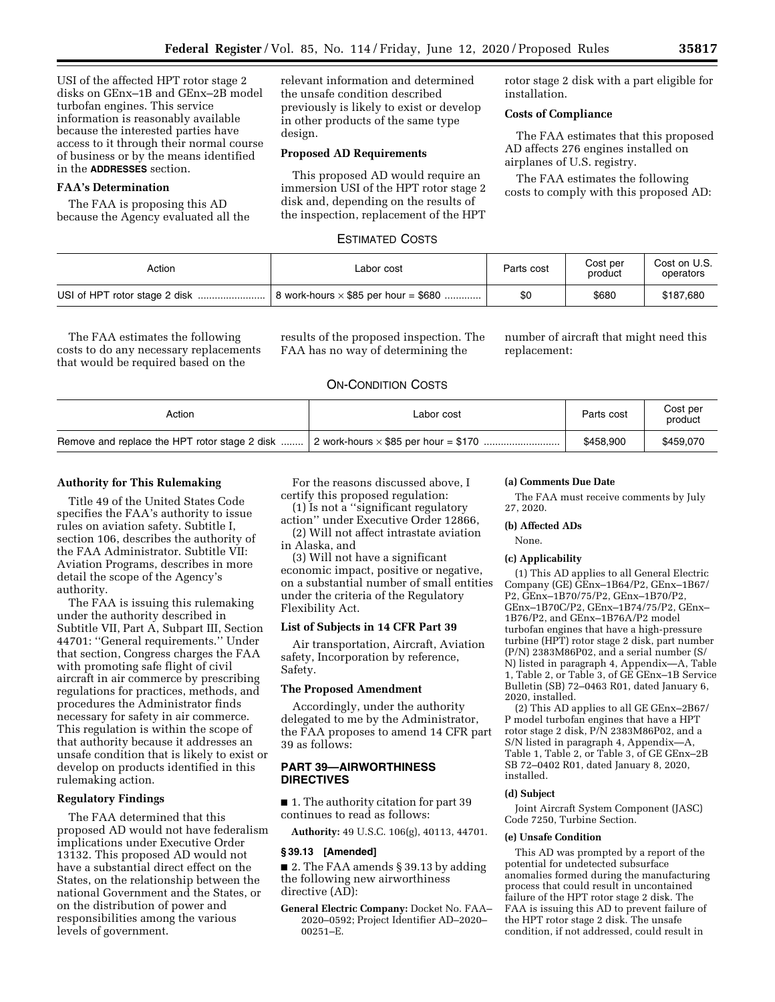USI of the affected HPT rotor stage 2 disks on GEnx–1B and GEnx–2B model turbofan engines. This service information is reasonably available because the interested parties have access to it through their normal course of business or by the means identified in the **ADDRESSES** section.

# **FAA's Determination**

The FAA is proposing this AD because the Agency evaluated all the relevant information and determined the unsafe condition described previously is likely to exist or develop in other products of the same type design.

# **Proposed AD Requirements**

This proposed AD would require an immersion USI of the HPT rotor stage 2 disk and, depending on the results of the inspection, replacement of the HPT rotor stage 2 disk with a part eligible for installation.

# **Costs of Compliance**

The FAA estimates that this proposed AD affects 276 engines installed on airplanes of U.S. registry.

The FAA estimates the following costs to comply with this proposed AD:

# ESTIMATED COSTS

| Action | Labor cost                                  | Parts cost | Cost per<br>product | Cost on U.S.<br>operators |
|--------|---------------------------------------------|------------|---------------------|---------------------------|
|        | 8 work-hours $\times$ \$85 per hour = \$680 | \$0        | \$680               | \$187,680                 |

The FAA estimates the following costs to do any necessary replacements that would be required based on the

results of the proposed inspection. The FAA has no way of determining the

number of aircraft that might need this replacement:

# ON-CONDITION COSTS

| Action                                        | Labor cost | Parts cost | Cost per<br>product |
|-----------------------------------------------|------------|------------|---------------------|
| Remove and replace the HPT rotor stage 2 disk |            | \$458,900  | \$459,070           |

### **Authority for This Rulemaking**

Title 49 of the United States Code specifies the FAA's authority to issue rules on aviation safety. Subtitle I, section 106, describes the authority of the FAA Administrator. Subtitle VII: Aviation Programs, describes in more detail the scope of the Agency's authority.

The FAA is issuing this rulemaking under the authority described in Subtitle VII, Part A, Subpart III, Section 44701: ''General requirements.'' Under that section, Congress charges the FAA with promoting safe flight of civil aircraft in air commerce by prescribing regulations for practices, methods, and procedures the Administrator finds necessary for safety in air commerce. This regulation is within the scope of that authority because it addresses an unsafe condition that is likely to exist or develop on products identified in this rulemaking action.

# **Regulatory Findings**

The FAA determined that this proposed AD would not have federalism implications under Executive Order 13132. This proposed AD would not have a substantial direct effect on the States, on the relationship between the national Government and the States, or on the distribution of power and responsibilities among the various levels of government.

For the reasons discussed above, I certify this proposed regulation:

(1) Is not a ''significant regulatory

action'' under Executive Order 12866, (2) Will not affect intrastate aviation in Alaska, and

(3) Will not have a significant economic impact, positive or negative, on a substantial number of small entities under the criteria of the Regulatory Flexibility Act.

### **List of Subjects in 14 CFR Part 39**

Air transportation, Aircraft, Aviation safety, Incorporation by reference, Safety.

# **The Proposed Amendment**

Accordingly, under the authority delegated to me by the Administrator, the FAA proposes to amend 14 CFR part 39 as follows:

# **PART 39—AIRWORTHINESS DIRECTIVES**

■ 1. The authority citation for part 39 continues to read as follows:

**Authority:** 49 U.S.C. 106(g), 40113, 44701.

# **§ 39.13 [Amended]**

■ 2. The FAA amends § 39.13 by adding the following new airworthiness directive (AD):

**General Electric Company:** Docket No. FAA– 2020–0592; Project Identifier AD–2020– 00251–E.

#### **(a) Comments Due Date**

The FAA must receive comments by July 27, 2020.

### **(b) Affected ADs**

None.

# **(c) Applicability**

(1) This AD applies to all General Electric Company (GE) GEnx–1B64/P2, GEnx–1B67/ P2, GEnx–1B70/75/P2, GEnx–1B70/P2, GEnx–1B70C/P2, GEnx–1B74/75/P2, GEnx– 1B76/P2, and GEnx–1B76A/P2 model turbofan engines that have a high-pressure turbine (HPT) rotor stage 2 disk, part number  $(P/N)$  2383M86P02, and a serial number  $(S/N)$ N) listed in paragraph 4, Appendix—A, Table 1, Table 2, or Table 3, of GE GEnx–1B Service Bulletin (SB) 72–0463 R01, dated January 6, 2020, installed.

(2) This AD applies to all GE GEnx–2B67/ P model turbofan engines that have a HPT rotor stage 2 disk, P/N 2383M86P02, and a S/N listed in paragraph 4, Appendix—A, Table 1, Table 2, or Table 3, of GE GEnx–2B SB 72–0402 R01, dated January 8, 2020, installed.

#### **(d) Subject**

Joint Aircraft System Component (JASC) Code 7250, Turbine Section.

#### **(e) Unsafe Condition**

This AD was prompted by a report of the potential for undetected subsurface anomalies formed during the manufacturing process that could result in uncontained failure of the HPT rotor stage 2 disk. The FAA is issuing this AD to prevent failure of the HPT rotor stage 2 disk. The unsafe condition, if not addressed, could result in